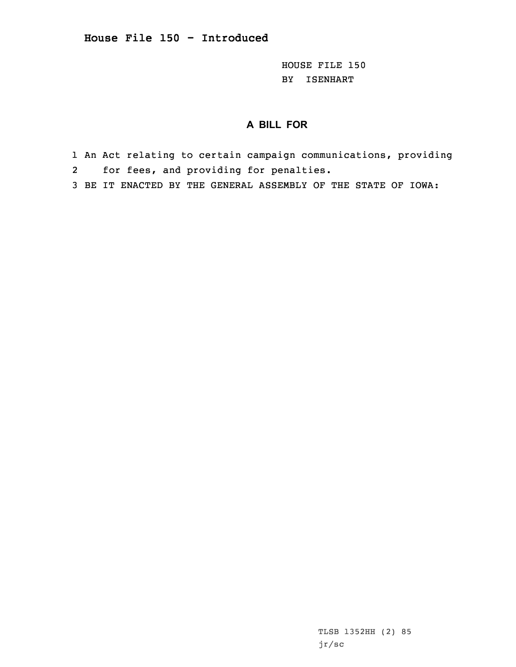HOUSE FILE 150 BY ISENHART

## **A BILL FOR**

- 1 An Act relating to certain campaign communications, providing 2for fees, and providing for penalties.
- 3 BE IT ENACTED BY THE GENERAL ASSEMBLY OF THE STATE OF IOWA:

TLSB 1352HH (2) 85 jr/sc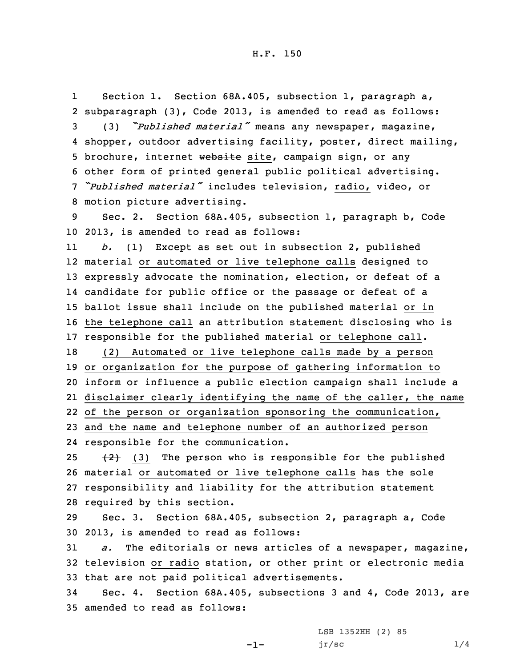1 Section 1. Section 68A.405, subsection 1, paragraph a, subparagraph (3), Code 2013, is amended to read as follows: (3) *"Published material"* means any newspaper, magazine, shopper, outdoor advertising facility, poster, direct mailing, 5 brochure, internet website site, campaign sign, or any other form of printed general public political advertising. *"Published material"* includes television, radio, video, or motion picture advertising.

9 Sec. 2. Section 68A.405, subsection 1, paragraph b, Code 10 2013, is amended to read as follows:

11 *b.* (1) Except as set out in subsection 2, published material or automated or live telephone calls designed to expressly advocate the nomination, election, or defeat of <sup>a</sup> candidate for public office or the passage or defeat of <sup>a</sup> ballot issue shall include on the published material or in the telephone call an attribution statement disclosing who is responsible for the published material or telephone call. (2) Automated or live telephone calls made by <sup>a</sup> person

 or organization for the purpose of gathering information to inform or influence <sup>a</sup> public election campaign shall include <sup>a</sup> disclaimer clearly identifying the name of the caller, the name of the person or organization sponsoring the communication, and the name and telephone number of an authorized person

24 responsible for the communication.

 $(3)$  The person who is responsible for the published material or automated or live telephone calls has the sole responsibility and liability for the attribution statement required by this section.

29 Sec. 3. Section 68A.405, subsection 2, paragraph a, Code 30 2013, is amended to read as follows:

31 *a.* The editorials or news articles of <sup>a</sup> newspaper, magazine, 32 television or radio station, or other print or electronic media 33 that are not paid political advertisements.

34 Sec. 4. Section 68A.405, subsections 3 and 4, Code 2013, are 35 amended to read as follows:

-1-

LSB 1352HH (2) 85  $jr/sec$  1/4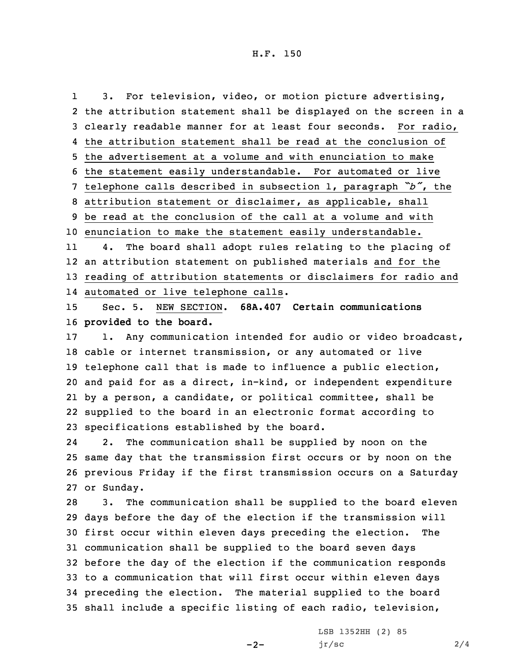1 3. For television, video, or motion picture advertising, the attribution statement shall be displayed on the screen in <sup>a</sup> clearly readable manner for at least four seconds. For radio, the attribution statement shall be read at the conclusion of the advertisement at <sup>a</sup> volume and with enunciation to make the statement easily understandable. For automated or live telephone calls described in subsection 1, paragraph *"b"*, the attribution statement or disclaimer, as applicable, shall be read at the conclusion of the call at <sup>a</sup> volume and with enunciation to make the statement easily understandable. 114. The board shall adopt rules relating to the placing of

12 an attribution statement on published materials and for the 13 reading of attribution statements or disclaimers for radio and 14 automated or live telephone calls.

15 Sec. 5. NEW SECTION. **68A.407 Certain communications** 16 **provided to the board.**

17 1. Any communication intended for audio or video broadcast, cable or internet transmission, or any automated or live telephone call that is made to influence <sup>a</sup> public election, and paid for as <sup>a</sup> direct, in-kind, or independent expenditure by <sup>a</sup> person, <sup>a</sup> candidate, or political committee, shall be supplied to the board in an electronic format according to specifications established by the board.

24 2. The communication shall be supplied by noon on the 25 same day that the transmission first occurs or by noon on the 26 previous Friday if the first transmission occurs on <sup>a</sup> Saturday 27 or Sunday.

 3. The communication shall be supplied to the board eleven days before the day of the election if the transmission will first occur within eleven days preceding the election. The communication shall be supplied to the board seven days before the day of the election if the communication responds to <sup>a</sup> communication that will first occur within eleven days preceding the election. The material supplied to the board shall include <sup>a</sup> specific listing of each radio, television,

 $-2-$ 

LSB 1352HH (2) 85  $jr/sec$  2/4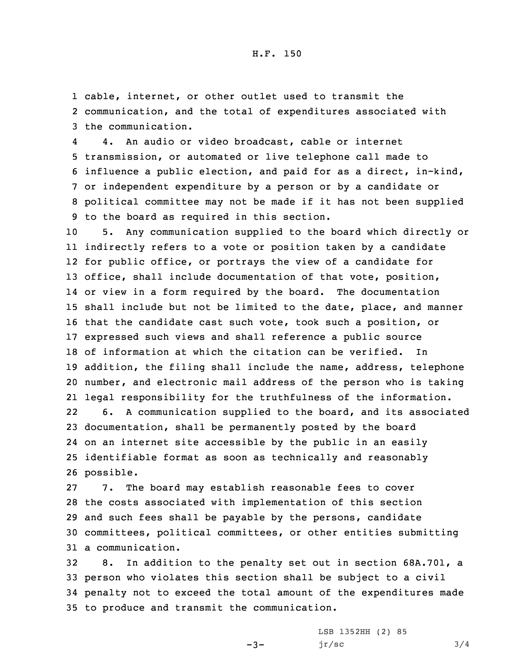1 cable, internet, or other outlet used to transmit the 2 communication, and the total of expenditures associated with 3 the communication.

4 4. An audio or video broadcast, cable or internet transmission, or automated or live telephone call made to influence <sup>a</sup> public election, and paid for as <sup>a</sup> direct, in-kind, or independent expenditure by <sup>a</sup> person or by <sup>a</sup> candidate or political committee may not be made if it has not been supplied to the board as required in this section.

 5. Any communication supplied to the board which directly or indirectly refers to <sup>a</sup> vote or position taken by <sup>a</sup> candidate for public office, or portrays the view of <sup>a</sup> candidate for office, shall include documentation of that vote, position, or view in <sup>a</sup> form required by the board. The documentation shall include but not be limited to the date, place, and manner that the candidate cast such vote, took such <sup>a</sup> position, or expressed such views and shall reference <sup>a</sup> public source of information at which the citation can be verified. In addition, the filing shall include the name, address, telephone number, and electronic mail address of the person who is taking legal responsibility for the truthfulness of the information. 22 6. <sup>A</sup> communication supplied to the board, and its associated documentation, shall be permanently posted by the board on an internet site accessible by the public in an easily identifiable format as soon as technically and reasonably possible.

 7. The board may establish reasonable fees to cover the costs associated with implementation of this section and such fees shall be payable by the persons, candidate committees, political committees, or other entities submitting a communication.

 8. In addition to the penalty set out in section 68A.701, <sup>a</sup> person who violates this section shall be subject to <sup>a</sup> civil penalty not to exceed the total amount of the expenditures made to produce and transmit the communication.

-3-

LSB 1352HH (2) 85  $jr/sec$  3/4